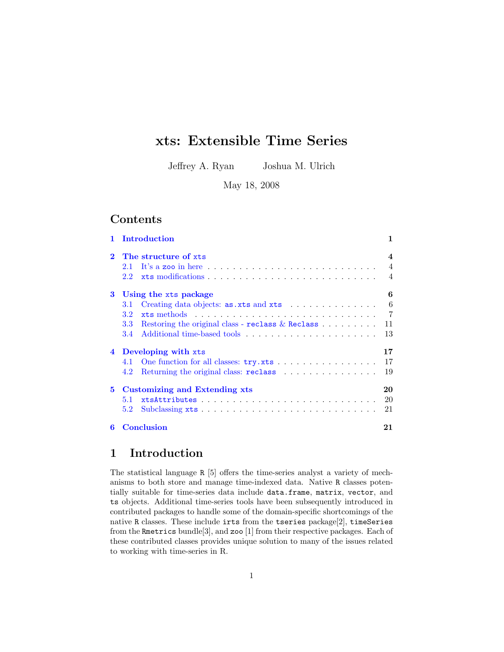# xts: Extensible Time Series

Jeffrey A. Ryan Joshua M. Ulrich

May 18, 2008

## Contents

|              | Introduction                                                            | 1                |  |  |  |  |
|--------------|-------------------------------------------------------------------------|------------------|--|--|--|--|
| $\mathbf{2}$ | The structure of xts                                                    | $\boldsymbol{4}$ |  |  |  |  |
|              | 2.1                                                                     | $\overline{4}$   |  |  |  |  |
|              | 2.2                                                                     | $\overline{4}$   |  |  |  |  |
| 3            | Using the xts package                                                   | 6                |  |  |  |  |
|              | Creating data objects: $\text{as.} \text{xts}$ and $\text{xts}$<br>3.1  | 6                |  |  |  |  |
|              | 3.2 <sub>2</sub>                                                        | $\overline{7}$   |  |  |  |  |
|              | Restoring the original class - reclass $\&$ Reclass<br>3.3 <sub>1</sub> | 11               |  |  |  |  |
|              | 3.4                                                                     | 13               |  |  |  |  |
|              | 4 Developing with xts                                                   | 17               |  |  |  |  |
|              |                                                                         | 17               |  |  |  |  |
|              | Returning the original class: reclass<br>4.2                            | 19               |  |  |  |  |
| $5^{\circ}$  | Customizing and Extending xts<br>20                                     |                  |  |  |  |  |
|              | 5.1                                                                     | 20               |  |  |  |  |
|              | 5.2                                                                     | 21               |  |  |  |  |
| 6            | <b>Conclusion</b>                                                       | 21               |  |  |  |  |

# <span id="page-0-0"></span>1 Introduction

The statistical language R [\[5\]](#page-21-0) offers the time-series analyst a variety of mechanisms to both store and manage time-indexed data. Native R classes potentially suitable for time-series data include data.frame, matrix, vector, and ts objects. Additional time-series tools have been subsequently introduced in contributed packages to handle some of the domain-specific shortcomings of the native R classes. These include irts from the tseries package[\[2\]](#page-21-1), timeSeries from the Rmetrics bundle[\[3\]](#page-21-2), and zoo [\[1\]](#page-21-3) from their respective packages. Each of these contributed classes provides unique solution to many of the issues related to working with time-series in R.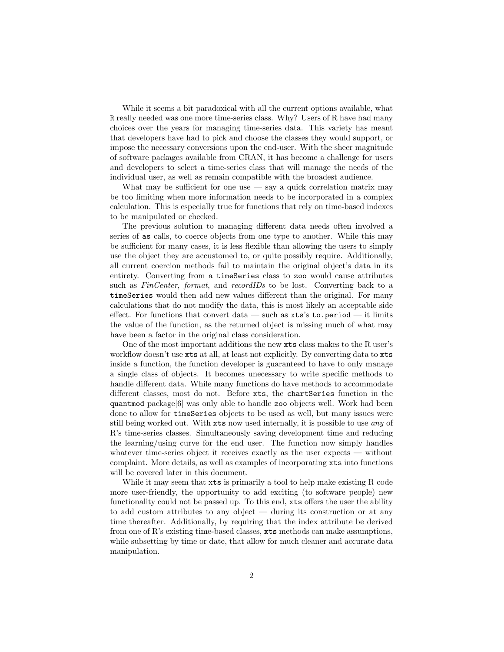While it seems a bit paradoxical with all the current options available, what R really needed was one more time-series class. Why? Users of R have had many choices over the years for managing time-series data. This variety has meant that developers have had to pick and choose the classes they would support, or impose the necessary conversions upon the end-user. With the sheer magnitude of software packages available from CRAN, it has become a challenge for users and developers to select a time-series class that will manage the needs of the individual user, as well as remain compatible with the broadest audience.

What may be sufficient for one use  $-$  say a quick correlation matrix may be too limiting when more information needs to be incorporated in a complex calculation. This is especially true for functions that rely on time-based indexes to be manipulated or checked.

The previous solution to managing different data needs often involved a series of as calls, to coerce objects from one type to another. While this may be sufficient for many cases, it is less flexible than allowing the users to simply use the object they are accustomed to, or quite possibly require. Additionally, all current coercion methods fail to maintain the original object's data in its entirety. Converting from a timeSeries class to zoo would cause attributes such as FinCenter, format, and recordIDs to be lost. Converting back to a timeSeries would then add new values different than the original. For many calculations that do not modify the data, this is most likely an acceptable side effect. For functions that convert data — such as  $xts's$  to.period — it limits the value of the function, as the returned object is missing much of what may have been a factor in the original class consideration.

One of the most important additions the new xts class makes to the R user's workflow doesn't use xts at all, at least not explicitly. By converting data to xts inside a function, the function developer is guaranteed to have to only manage a single class of objects. It becomes unecessary to write specific methods to handle different data. While many functions do have methods to accommodate different classes, most do not. Before xts, the chartSeries function in the quantmod package[\[6\]](#page-21-4) was only able to handle zoo objects well. Work had been done to allow for timeSeries objects to be used as well, but many issues were still being worked out. With xts now used internally, it is possible to use any of R's time-series classes. Simultaneously saving development time and reducing the learning/using curve for the end user. The function now simply handles whatever time-series object it receives exactly as the user expects — without complaint. More details, as well as examples of incorporating xts into functions will be covered later in this document.

While it may seem that  $x$ ts is primarily a tool to help make existing R code more user-friendly, the opportunity to add exciting (to software people) new functionality could not be passed up. To this end, xts offers the user the ability to add custom attributes to any object — during its construction or at any time thereafter. Additionally, by requiring that the index attribute be derived from one of R's existing time-based classes, xts methods can make assumptions, while subsetting by time or date, that allow for much cleaner and accurate data manipulation.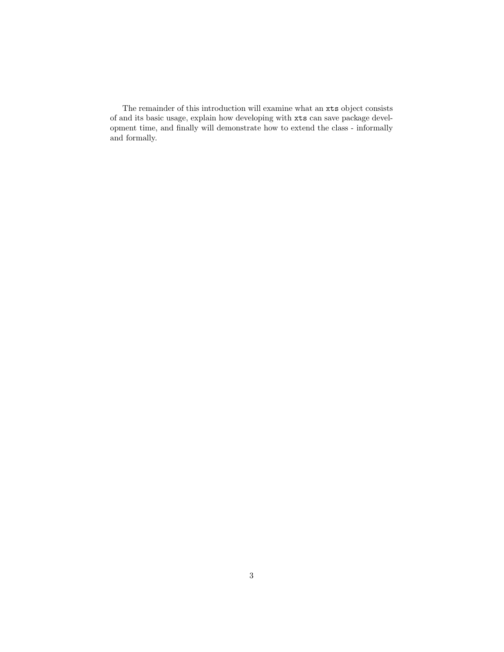The remainder of this introduction will examine what an xts object consists of and its basic usage, explain how developing with xts can save package development time, and finally will demonstrate how to extend the class - informally and formally.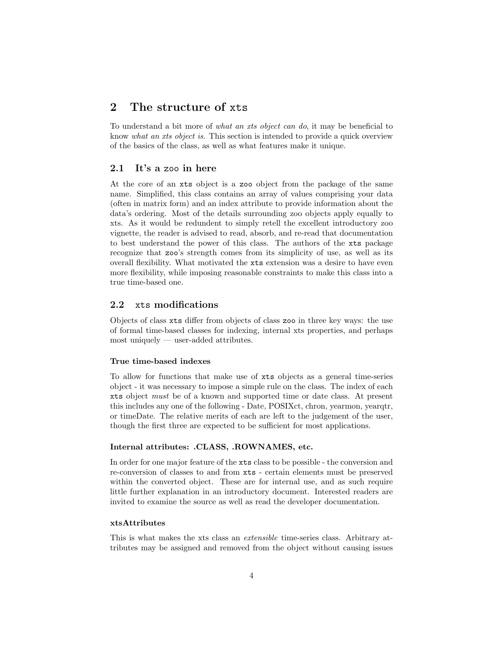# <span id="page-3-0"></span>2 The structure of xts

To understand a bit more of what an xts object can do, it may be beneficial to know what an xts object is. This section is intended to provide a quick overview of the basics of the class, as well as what features make it unique.

#### <span id="page-3-1"></span>2.1 It's a zoo in here

At the core of an xts object is a zoo object from the package of the same name. Simplified, this class contains an array of values comprising your data (often in matrix form) and an index attribute to provide information about the data's ordering. Most of the details surrounding zoo objects apply equally to xts. As it would be redundent to simply retell the excellent introductory zoo vignette, the reader is advised to read, absorb, and re-read that documentation to best understand the power of this class. The authors of the xts package recognize that zoo's strength comes from its simplicity of use, as well as its overall flexibility. What motivated the xts extension was a desire to have even more flexibility, while imposing reasonable constraints to make this class into a true time-based one.

### <span id="page-3-2"></span>2.2 xts modifications

Objects of class xts differ from objects of class zoo in three key ways: the use of formal time-based classes for indexing, internal xts properties, and perhaps most uniquely — user-added attributes.

#### True time-based indexes

To allow for functions that make use of xts objects as a general time-series object - it was necessary to impose a simple rule on the class. The index of each xts object must be of a known and supported time or date class. At present this includes any one of the following - Date, POSIXct, chron, yearmon, yearqtr, or timeDate. The relative merits of each are left to the judgement of the user, though the first three are expected to be sufficient for most applications.

#### Internal attributes: .CLASS, .ROWNAMES, etc.

In order for one major feature of the xts class to be possible - the conversion and re-conversion of classes to and from xts - certain elements must be preserved within the converted object. These are for internal use, and as such require little further explanation in an introductory document. Interested readers are invited to examine the source as well as read the developer documentation.

#### xtsAttributes

This is what makes the xts class an extensible time-series class. Arbitrary attributes may be assigned and removed from the object without causing issues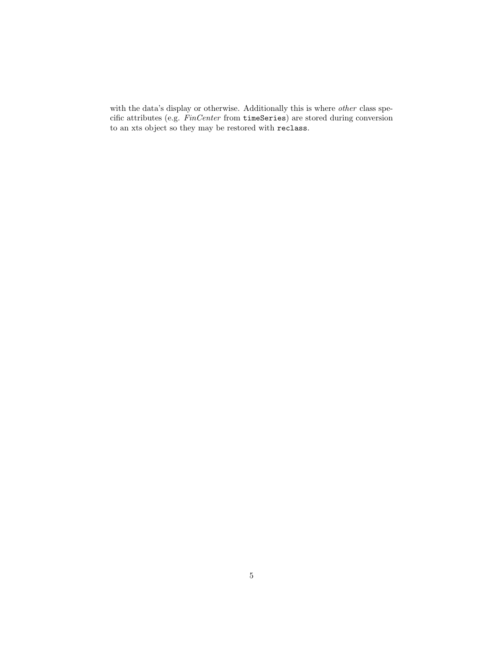with the data's display or otherwise. Additionally this is where other class specific attributes (e.g. FinCenter from timeSeries) are stored during conversion to an xts object so they may be restored with reclass.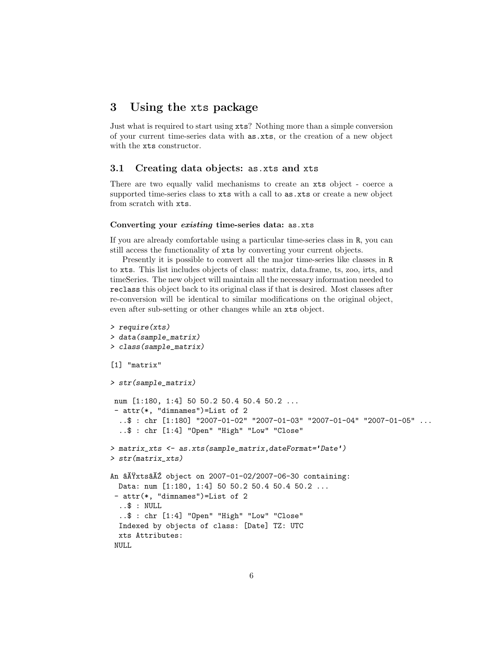## <span id="page-5-0"></span>3 Using the xts package

Just what is required to start using xts? Nothing more than a simple conversion of your current time-series data with as.xts, or the creation of a new object with the xts constructor.

### <span id="page-5-1"></span>3.1 Creating data objects: as.xts and xts

There are two equally valid mechanisms to create an xts object - coerce a supported time-series class to xts with a call to as.xts or create a new object from scratch with xts.

#### Converting your existing time-series data: as.xts

If you are already comfortable using a particular time-series class in R, you can still access the functionality of xts by converting your current objects.

Presently it is possible to convert all the major time-series like classes in R to xts. This list includes objects of class: matrix, data.frame, ts, zoo, irts, and timeSeries. The new object will maintain all the necessary information needed to reclass this object back to its original class if that is desired. Most classes after re-conversion will be identical to similar modifications on the original object, even after sub-setting or other changes while an xts object.

```
> require(xts)
> data(sample_matrix)
> class(sample_matrix)
[1] "matrix"
> str(sample_matrix)
num [1:180, 1:4] 50 50.2 50.4 50.4 50.2 ...
 - attr(*, "dimnames")=List of 2
  ..$ : chr [1:180] "2007-01-02" "2007-01-03" "2007-01-04" "2007-01-05" ...
  ..$ : chr [1:4] "Open" "High" "Low" "Close"
> matrix_xts <- as.xts(sample_matrix,dateFormat='Date')
> str(matrix_xts)
An \tilde{a}AŸxts\tilde{a}AŽ object on 2007-01-02/2007-06-30 containing:
 Data: num [1:180, 1:4] 50 50.2 50.4 50.4 50.2 ...
 - attr(*, "dimnames")=List of 2
  ..$ : NULL
  ..$ : chr [1:4] "Open" "High" "Low" "Close"
  Indexed by objects of class: [Date] TZ: UTC
 xts Attributes:
 NULL
```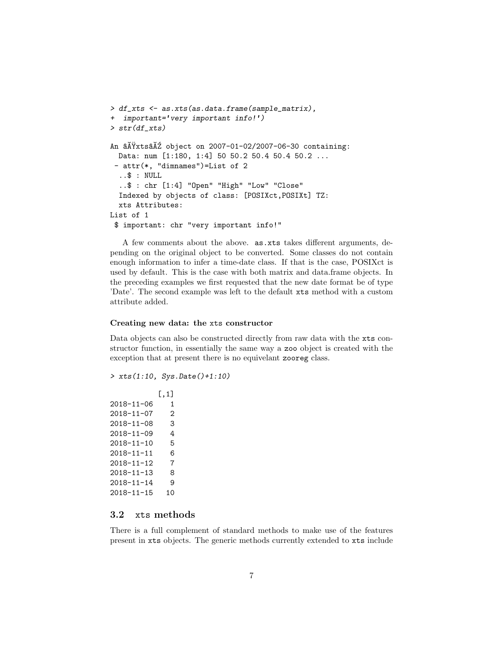```
> df_xts <- as.xts(as.data.frame(sample_matrix),
+ important='very important info!')
> str(df_xts)
An \tilde{a}AŸxts\tilde{a}AŽ object on 2007-01-02/2007-06-30 containing:
 Data: num [1:180, 1:4] 50 50.2 50.4 50.4 50.2 ...
 - attr(*, "dimnames")=List of 2
  ..$ : NULL
  ..$ : chr [1:4] "Open" "High" "Low" "Close"
  Indexed by objects of class: [POSIXct,POSIXt] TZ:
 xts Attributes:
List of 1
 $ important: chr "very important info!"
```
A few comments about the above. as.xts takes different arguments, depending on the original object to be converted. Some classes do not contain enough information to infer a time-date class. If that is the case, POSIXct is used by default. This is the case with both matrix and data.frame objects. In the preceding examples we first requested that the new date format be of type 'Date'. The second example was left to the default xts method with a custom attribute added.

#### Creating new data: the xts constructor

Data objects can also be constructed directly from raw data with the xts constructor function, in essentially the same way a zoo object is created with the exception that at present there is no equivelant zooreg class.

```
> xts(1:10, Sys.Date()+1:10)
```

```
[,1]
2018-11-06 1
2018-11-07 2
2018-11-08 3
2018-11-09 4
2018-11-10 5
2018-11-11 6
2018-11-12 7
2018-11-13 8
2018-11-14 9
2018-11-15 10
```
### <span id="page-6-0"></span>3.2 xts methods

There is a full complement of standard methods to make use of the features present in xts objects. The generic methods currently extended to xts include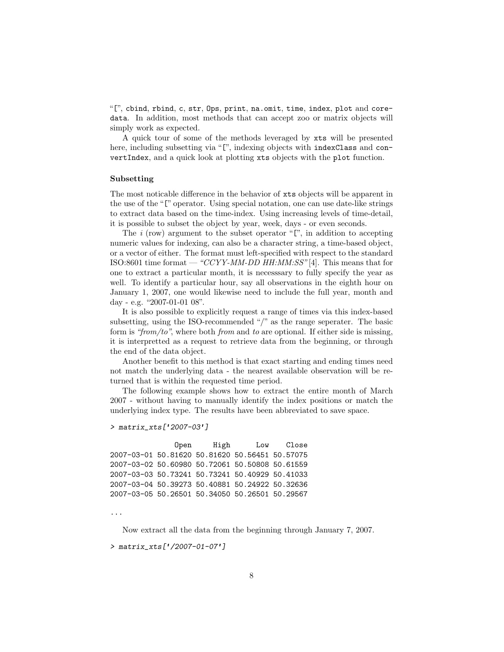"[", cbind, rbind, c, str, Ops, print, na.omit, time, index, plot and coredata. In addition, most methods that can accept zoo or matrix objects will simply work as expected.

A quick tour of some of the methods leveraged by xts will be presented here, including subsetting via "[", indexing objects with indexClass and convertIndex, and a quick look at plotting xts objects with the plot function.

#### Subsetting

The most noticable difference in the behavior of xts objects will be apparent in the use of the "[" operator. Using special notation, one can use date-like strings to extract data based on the time-index. Using increasing levels of time-detail, it is possible to subset the object by year, week, days - or even seconds.

The  $i$  (row) argument to the subset operator "[", in addition to accepting numeric values for indexing, can also be a character string, a time-based object, or a vector of either. The format must left-specified with respect to the standard ISO:8601 time format —"CCYY-MM-DD HH:MM:SS" [\[4\]](#page-21-5). This means that for one to extract a particular month, it is necesssary to fully specify the year as well. To identify a particular hour, say all observations in the eighth hour on January 1, 2007, one would likewise need to include the full year, month and day - e.g. "2007-01-01 08".

It is also possible to explicitly request a range of times via this index-based subsetting, using the ISO-recommended "/" as the range seperater. The basic form is "from/to", where both from and to are optional. If either side is missing, it is interpretted as a request to retrieve data from the beginning, or through the end of the data object.

Another benefit to this method is that exact starting and ending times need not match the underlying data - the nearest available observation will be returned that is within the requested time period.

The following example shows how to extract the entire month of March 2007 - without having to manually identify the index positions or match the underlying index type. The results have been abbreviated to save space.

#### > matrix\_xts['2007-03']

Open High Low Close 2007-03-01 50.81620 50.81620 50.56451 50.57075 2007-03-02 50.60980 50.72061 50.50808 50.61559 2007-03-03 50.73241 50.73241 50.40929 50.41033 2007-03-04 50.39273 50.40881 50.24922 50.32636 2007-03-05 50.26501 50.34050 50.26501 50.29567

...

Now extract all the data from the beginning through January 7, 2007.

> matrix\_xts['/2007-01-07']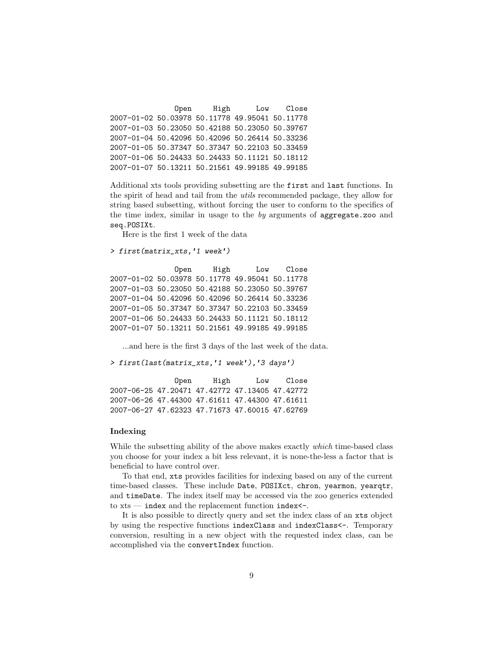Open High Low Close 2007-01-02 50.03978 50.11778 49.95041 50.11778 2007-01-03 50.23050 50.42188 50.23050 50.39767 2007-01-04 50.42096 50.42096 50.26414 50.33236 2007-01-05 50.37347 50.37347 50.22103 50.33459 2007-01-06 50.24433 50.24433 50.11121 50.18112 2007-01-07 50.13211 50.21561 49.99185 49.99185

Additional xts tools providing subsetting are the first and last functions. In the spirit of head and tail from the utils recommended package, they allow for string based subsetting, without forcing the user to conform to the specifics of the time index, similar in usage to the  $by$  arguments of aggregate.zoo and seq.POSIXt.

Here is the first 1 week of the data

```
> first(matrix_xts,'1 week')
```
Open High Low Close 2007-01-02 50.03978 50.11778 49.95041 50.11778 2007-01-03 50.23050 50.42188 50.23050 50.39767 2007-01-04 50.42096 50.42096 50.26414 50.33236 2007-01-05 50.37347 50.37347 50.22103 50.33459 2007-01-06 50.24433 50.24433 50.11121 50.18112 2007-01-07 50.13211 50.21561 49.99185 49.99185

...and here is the first 3 days of the last week of the data.

> first(last(matrix\_xts,'1 week'),'3 days')

Open High Low Close 2007-06-25 47.20471 47.42772 47.13405 47.42772 2007-06-26 47.44300 47.61611 47.44300 47.61611 2007-06-27 47.62323 47.71673 47.60015 47.62769

#### Indexing

While the subsetting ability of the above makes exactly which time-based class you choose for your index a bit less relevant, it is none-the-less a factor that is beneficial to have control over.

To that end, xts provides facilities for indexing based on any of the current time-based classes. These include Date, POSIXct, chron, yearmon, yearqtr, and timeDate. The index itself may be accessed via the zoo generics extended to  $xts$  — index and the replacement function index $\leftarrow$ .

It is also possible to directly query and set the index class of an xts object by using the respective functions indexClass and indexClass<-. Temporary conversion, resulting in a new object with the requested index class, can be accomplished via the convertIndex function.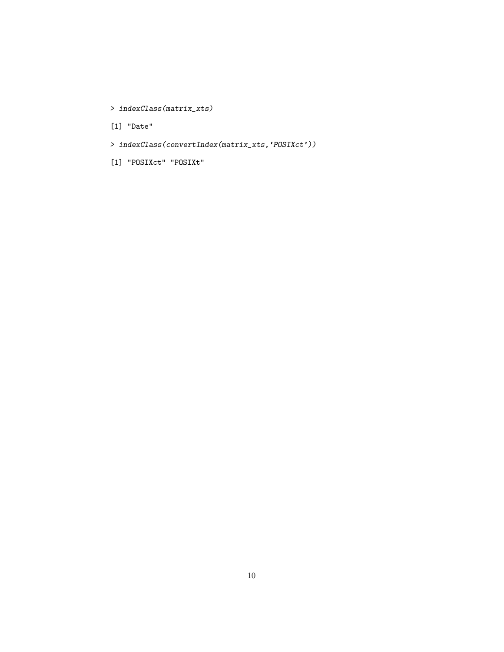- > indexClass(matrix\_xts)
- [1] "Date"
- > indexClass(convertIndex(matrix\_xts,'POSIXct'))
- [1] "POSIXct" "POSIXt"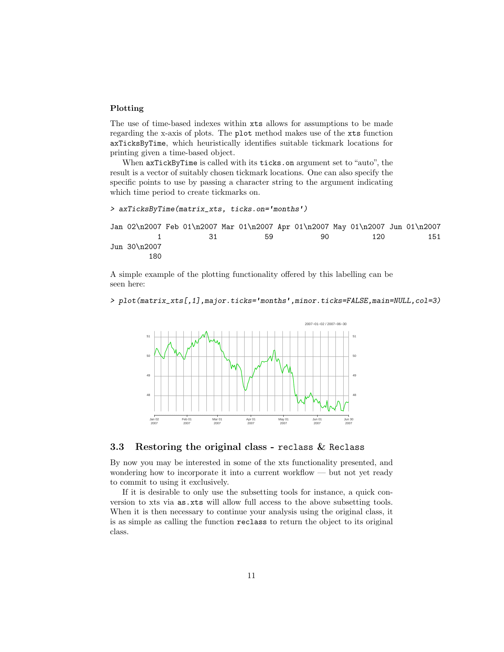#### Plotting

The use of time-based indexes within xts allows for assumptions to be made regarding the x-axis of plots. The plot method makes use of the xts function axTicksByTime, which heuristically identifies suitable tickmark locations for printing given a time-based object.

When axTickByTime is called with its ticks.on argument set to "auto", the result is a vector of suitably chosen tickmark locations. One can also specify the specific points to use by passing a character string to the argument indicating which time period to create tickmarks on.

```
> axTicksByTime(matrix_xts, ticks.on='months')
```
Jan 02\n2007 Feb 01\n2007 Mar 01\n2007 Apr 01\n2007 May 01\n2007 Jun 01\n2007 1 31 59 90 120 151 Jun 30\n2007 180

A simple example of the plotting functionality offered by this labelling can be seen here:

> plot(matrix\_xts[,1],major.ticks='months',minor.ticks=FALSE,main=NULL,col=3)



#### <span id="page-10-0"></span>3.3 Restoring the original class - reclass  $\&$  Reclass

By now you may be interested in some of the xts functionality presented, and wondering how to incorporate it into a current workflow — but not yet ready to commit to using it exclusively.

If it is desirable to only use the subsetting tools for instance, a quick conversion to xts via as.xts will allow full access to the above subsetting tools. When it is then necessary to continue your analysis using the original class, it is as simple as calling the function reclass to return the object to its original class.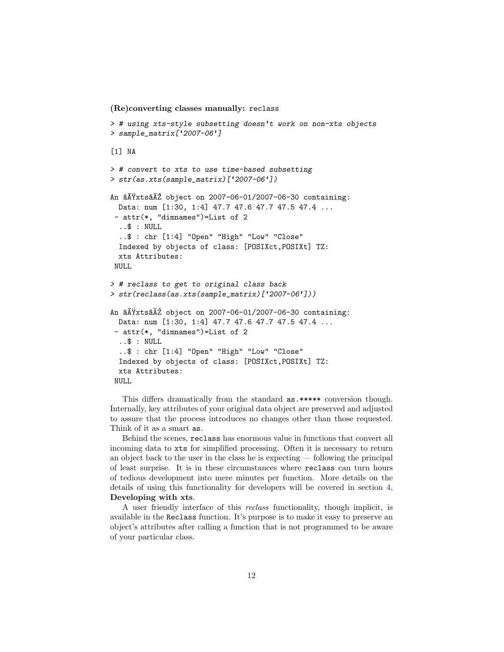(Re)converting classes manually: reclass

```
> # using xts-style subsetting doesn't work on non-xts objects
> sample_matrix['2007-06']
[1] NA
> # convert to xts to use time-based subsetting
> str(as.xts(sample_matrix)['2007-06'])
An \tilde{A}Yxts\tilde{A}Z object on 2007-06-01/2007-06-30 containing:
  Data: num [1:30, 1:4] 47.7 47.6 47.7 47.5 47.4 ...
 - attr(*, "dimnames")=List of 2
  ..$ : NULL
  ..$ : chr [1:4] "Open" "High" "Low" "Close"
  Indexed by objects of class: [POSIXct,POSIXt] TZ:
  xts Attributes:
 NULL.
> # reclass to get to original class back
> str(reclass(as.xts(sample_matrix)['2007-06']))
An \tilde{a}X\tilde{Y}xts\tilde{a}X\tilde{Z} object on 2007-06-01/2007-06-30 containing:
  Data: num [1:30, 1:4] 47.7 47.6 47.7 47.5 47.4 ...
 - attr(*, "dimnames")=List of 2
  ..$ : NULL
  ..$ : chr [1:4] "Open" "High" "Low" "Close"
  Indexed by objects of class: [POSIXct,POSIXt] TZ:
  xts Attributes:
 NULL
```
This differs dramatically from the standard as.\*\*\*\*\* conversion though. Internally, key attributes of your original data object are preserved and adjusted to assure that the process introduces no changes other than those requested. Think of it as a smart as.

Behind the scenes, reclass has enormous value in functions that convert all incoming data to xts for simplified processing. Often it is necessary to return an object back to the user in the class he is expecting — following the principal of least surprise. It is in these circumstances where reclass can turn hours of tedious development into mere minutes per function. More details on the details of using this functionality for developers will be covered in section [4,](#page-16-0) Developing with xts.

A user friendly interface of this reclass functionality, though implicit, is available in the Reclass function. It's purpose is to make it easy to preserve an object's attributes after calling a function that is not programmed to be aware of your particular class.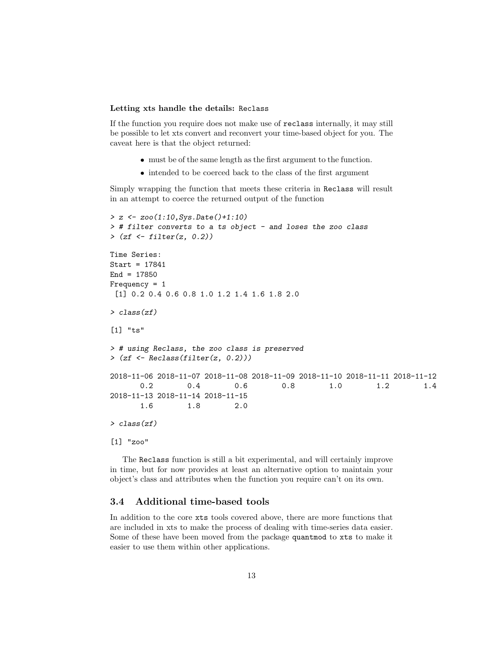#### Letting xts handle the details: Reclass

If the function you require does not make use of reclass internally, it may still be possible to let xts convert and reconvert your time-based object for you. The caveat here is that the object returned:

- must be of the same length as the first argument to the function.
- intended to be coerced back to the class of the first argument

Simply wrapping the function that meets these criteria in Reclass will result in an attempt to coerce the returned output of the function

```
> z <- zoo(1:10,Sys.Date()+1:10)
> # filter converts to a ts object - and loses the zoo class
>(zf <- filter(z, 0.2))Time Series:
Start = 17841
End = 17850
Frequency = 1
 [1] 0.2 0.4 0.6 0.8 1.0 1.2 1.4 1.6 1.8 2.0
> class(zf)
[1] "ts"
> # using Reclass, the zoo class is preserved
> (zf <- Reclass(filter(z, 0.2)))
2018-11-06 2018-11-07 2018-11-08 2018-11-09 2018-11-10 2018-11-11 2018-11-12
      0.2 0.4 0.6 0.8 1.0 1.2 1.4
2018-11-13 2018-11-14 2018-11-15
      1.6 1.8 2.0
> class(zf)
[1] "zoo"
```
The Reclass function is still a bit experimental, and will certainly improve in time, but for now provides at least an alternative option to maintain your object's class and attributes when the function you require can't on its own.

### <span id="page-12-0"></span>3.4 Additional time-based tools

In addition to the core xts tools covered above, there are more functions that are included in xts to make the process of dealing with time-series data easier. Some of these have been moved from the package quantmod to xts to make it easier to use them within other applications.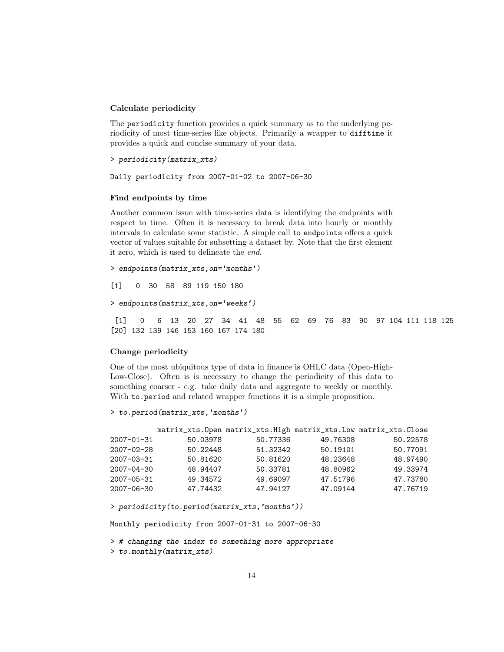#### Calculate periodicity

The periodicity function provides a quick summary as to the underlying periodicity of most time-series like objects. Primarily a wrapper to difftime it provides a quick and concise summary of your data.

```
> periodicity(matrix_xts)
```
Daily periodicity from 2007-01-02 to 2007-06-30

#### Find endpoints by time

Another common issue with time-series data is identifying the endpoints with respect to time. Often it is necessary to break data into hourly or monthly intervals to calculate some statistic. A simple call to endpoints offers a quick vector of values suitable for subsetting a dataset by. Note that the first element it zero, which is used to delineate the end.

```
> endpoints(matrix_xts,on='months')
```
[1] 0 30 58 89 119 150 180

> endpoints(matrix\_xts,on='weeks')

[1] 0 6 13 20 27 34 41 48 55 62 69 76 83 90 97 104 111 118 125 [20] 132 139 146 153 160 167 174 180

#### Change periodicity

One of the most ubiquitous type of data in finance is OHLC data (Open-High-Low-Close). Often is is necessary to change the periodicity of this data to something coarser - e.g. take daily data and aggregate to weekly or monthly. With to.period and related wrapper functions it is a simple proposition.

```
> to.period(matrix_xts,'months')
```

|                  |          |          |          | matrix_xts.Open matrix_xts.High matrix_xts.Low matrix_xts.Close |
|------------------|----------|----------|----------|-----------------------------------------------------------------|
| $2007 - 01 - 31$ | 50.03978 | 50.77336 | 49.76308 | 50.22578                                                        |
| $2007 - 02 - 28$ | 50.22448 | 51.32342 | 50.19101 | 50.77091                                                        |
| $2007 - 03 - 31$ | 50.81620 | 50.81620 | 48.23648 | 48.97490                                                        |
| $2007 - 04 - 30$ | 48.94407 | 50.33781 | 48.80962 | 49.33974                                                        |
| $2007 - 05 - 31$ | 49.34572 | 49.69097 | 47.51796 | 47.73780                                                        |
| $2007 - 06 - 30$ | 47.74432 | 47.94127 | 47.09144 | 47.76719                                                        |

> periodicity(to.period(matrix\_xts,'months'))

Monthly periodicity from 2007-01-31 to 2007-06-30

```
> # changing the index to something more appropriate
```
> to.monthly(matrix\_xts)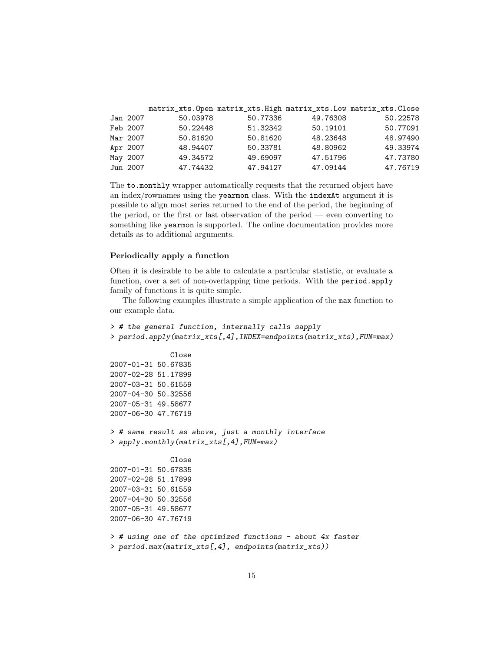|          |          |          |          | matrix_xts. Open matrix_xts. High matrix_xts. Low matrix_xts. Close |
|----------|----------|----------|----------|---------------------------------------------------------------------|
| Jan 2007 | 50.03978 | 50.77336 | 49.76308 | 50.22578                                                            |
| Feb 2007 | 50.22448 | 51.32342 | 50.19101 | 50.77091                                                            |
| Mar 2007 | 50.81620 | 50.81620 | 48.23648 | 48.97490                                                            |
| Apr 2007 | 48.94407 | 50.33781 | 48.80962 | 49.33974                                                            |
| May 2007 | 49.34572 | 49.69097 | 47.51796 | 47.73780                                                            |
| Jun 2007 | 47.74432 | 47.94127 | 47.09144 | 47.76719                                                            |

The to.monthly wrapper automatically requests that the returned object have an index/rownames using the yearmon class. With the indexAt argument it is possible to align most series returned to the end of the period, the beginning of the period, or the first or last observation of the period — even converting to something like yearmon is supported. The online documentation provides more details as to additional arguments.

#### Periodically apply a function

Often it is desirable to be able to calculate a particular statistic, or evaluate a function, over a set of non-overlapping time periods. With the period.apply family of functions it is quite simple.

The following examples illustrate a simple application of the max function to our example data.

```
> # the general function, internally calls sapply
> period.apply(matrix_xts[,4],INDEX=endpoints(matrix_xts),FUN=max)
              Close
2007-01-31 50.67835
2007-02-28 51.17899
2007-03-31 50.61559
2007-04-30 50.32556
2007-05-31 49.58677
2007-06-30 47.76719
> # same result as above, just a monthly interface
> apply.monthly(matrix_xts[,4],FUN=max)
              Close
2007-01-31 50.67835
2007-02-28 51.17899
2007-03-31 50.61559
2007-04-30 50.32556
2007-05-31 49.58677
2007-06-30 47.76719
> # using one of the optimized functions - about 4x faster
> period.max(matrix_xts[,4], endpoints(matrix_xts))
```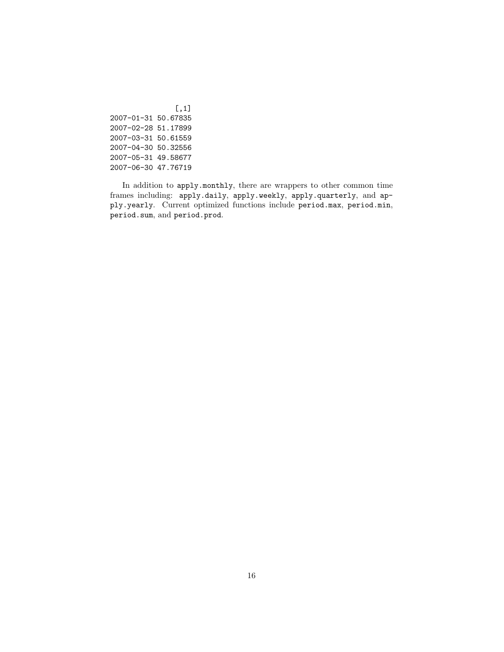[,1] 2007-01-31 50.67835 2007-02-28 51.17899 2007-03-31 50.61559 2007-04-30 50.32556 2007-05-31 49.58677 2007-06-30 47.76719

In addition to apply.monthly, there are wrappers to other common time frames including: apply.daily, apply.weekly, apply.quarterly, and apply.yearly. Current optimized functions include period.max, period.min, period.sum, and period.prod.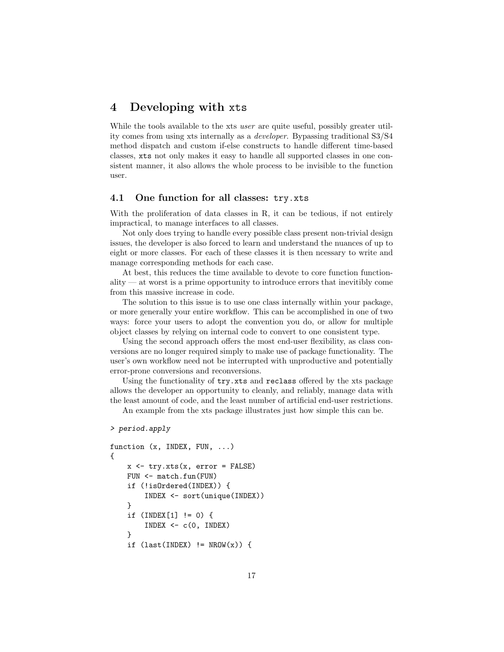# <span id="page-16-0"></span>4 Developing with xts

While the tools available to the xts *user* are quite useful, possibly greater utility comes from using xts internally as a developer. Bypassing traditional S3/S4 method dispatch and custom if-else constructs to handle different time-based classes, xts not only makes it easy to handle all supported classes in one consistent manner, it also allows the whole process to be invisible to the function user.

### <span id="page-16-1"></span>4.1 One function for all classes: try.xts

With the proliferation of data classes in R, it can be tedious, if not entirely impractical, to manage interfaces to all classes.

Not only does trying to handle every possible class present non-trivial design issues, the developer is also forced to learn and understand the nuances of up to eight or more classes. For each of these classes it is then ncessary to write and manage corresponding methods for each case.

At best, this reduces the time available to devote to core function functionality — at worst is a prime opportunity to introduce errors that inevitibly come from this massive increase in code.

The solution to this issue is to use one class internally within your package, or more generally your entire workflow. This can be accomplished in one of two ways: force your users to adopt the convention you do, or allow for multiple object classes by relying on internal code to convert to one consistent type.

Using the second approach offers the most end-user flexibility, as class conversions are no longer required simply to make use of package functionality. The user's own workflow need not be interrupted with unproductive and potentially error-prone conversions and reconversions.

Using the functionality of try.xts and reclass offered by the xts package allows the developer an opportunity to cleanly, and reliably, manage data with the least amount of code, and the least number of artificial end-user restrictions.

An example from the xts package illustrates just how simple this can be.

#### > period.apply

```
function (x, INDEX, FUN, ...)
{
    x \leftarrow try.txts(x, error = FALSE)FUN <- match.fun(FUN)
    if (!isOrdered(INDEX)) {
         INDEX <- sort(unique(INDEX))
    }
    if (INDEX[1] != 0) {
         INDEX \leftarrow c(0, INDEX)}
    if (last(INDEX) != NROW(x)) {
```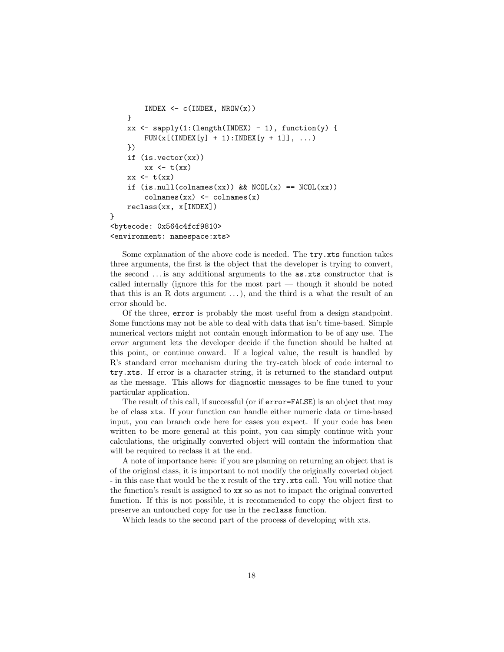```
INDEX \leftarrow c(INDEX, NROW(x))
    }
    xx <- sapply(1:(length(INDEX) - 1), function(y) {
         FUN(x[ (INDEX[y] + 1):INDEX[y + 1]], ... )})
    if (is.vector(xx))
         xx \leftarrow t(xx)xx \leftarrow t(xx)if (is.null(colnames(xx)) && NCOL(x) == NCOL(xx)\text{colnames}(xx) \leftarrow \text{colnames}(x)reclass(xx, x[INDEX])
<bytecode: 0x564c4fcf9810>
<environment: namespace:xts>
```
}

Some explanation of the above code is needed. The try.xts function takes three arguments, the first is the object that the developer is trying to convert, the second . . . is any additional arguments to the as.xts constructor that is called internally (ignore this for the most part — though it should be noted that this is an R dots argument  $\dots$ , and the third is a what the result of an error should be.

Of the three, error is probably the most useful from a design standpoint. Some functions may not be able to deal with data that isn't time-based. Simple numerical vectors might not contain enough information to be of any use. The error argument lets the developer decide if the function should be halted at this point, or continue onward. If a logical value, the result is handled by R's standard error mechanism during the try-catch block of code internal to try.xts. If error is a character string, it is returned to the standard output as the message. This allows for diagnostic messages to be fine tuned to your particular application.

The result of this call, if successful (or if error=FALSE) is an object that may be of class xts. If your function can handle either numeric data or time-based input, you can branch code here for cases you expect. If your code has been written to be more general at this point, you can simply continue with your calculations, the originally converted object will contain the information that will be required to reclass it at the end.

A note of importance here: if you are planning on returning an object that is of the original class, it is important to not modify the originally coverted object - in this case that would be the x result of the try.xts call. You will notice that the function's result is assigned to xx so as not to impact the original converted function. If this is not possible, it is recommended to copy the object first to preserve an untouched copy for use in the reclass function.

Which leads to the second part of the process of developing with xts.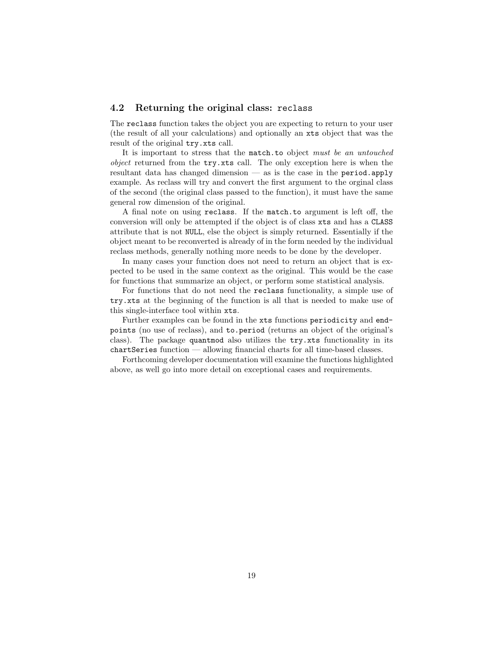#### <span id="page-18-0"></span>4.2 Returning the original class: reclass

The reclass function takes the object you are expecting to return to your user (the result of all your calculations) and optionally an xts object that was the result of the original try.xts call.

It is important to stress that the match.to object must be an untouched object returned from the try.xts call. The only exception here is when the resultant data has changed dimension — as is the case in the period.apply example. As reclass will try and convert the first argument to the orginal class of the second (the original class passed to the function), it must have the same general row dimension of the original.

A final note on using reclass. If the match.to argument is left off, the conversion will only be attempted if the object is of class xts and has a CLASS attribute that is not NULL, else the object is simply returned. Essentially if the object meant to be reconverted is already of in the form needed by the individual reclass methods, generally nothing more needs to be done by the developer.

In many cases your function does not need to return an object that is expected to be used in the same context as the original. This would be the case for functions that summarize an object, or perform some statistical analysis.

For functions that do not need the reclass functionality, a simple use of try.xts at the beginning of the function is all that is needed to make use of this single-interface tool within xts.

Further examples can be found in the xts functions periodicity and endpoints (no use of reclass), and to.period (returns an object of the original's class). The package quantmod also utilizes the try.xts functionality in its chartSeries function — allowing financial charts for all time-based classes.

Forthcoming developer documentation will examine the functions highlighted above, as well go into more detail on exceptional cases and requirements.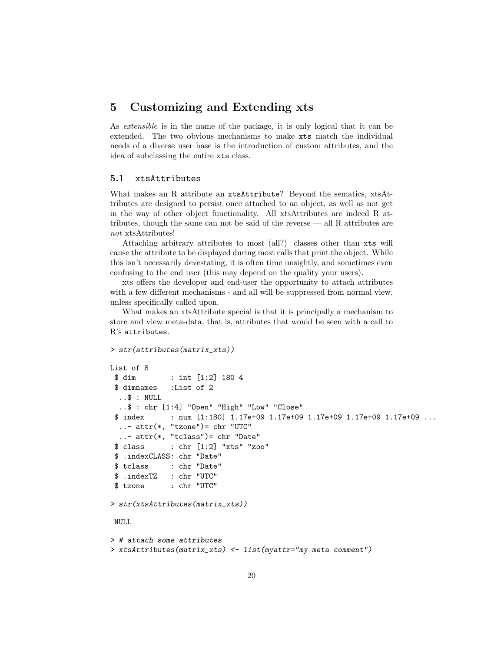# <span id="page-19-0"></span>5 Customizing and Extending xts

As extensible is in the name of the package, it is only logical that it can be extended. The two obvious mechanisms to make xts match the individual needs of a diverse user base is the introduction of custom attributes, and the idea of subclassing the entire xts class.

### <span id="page-19-1"></span>5.1 xtsAttributes

What makes an R attribute an xtsAttribute? Beyond the sematics, xtsAttributes are designed to persist once attached to an object, as well as not get in the way of other object functionality. All xtsAttributes are indeed R attributes, though the same can not be said of the reverse — all R attributes are not xtsAttributes!

Attaching arbitrary attributes to most (all?) classes other than xts will cause the attribute to be displayed during most calls that print the object. While this isn't necessarily devestating, it is often time unsightly, and sometimes even confusing to the end user (this may depend on the quality your users).

xts offers the developer and end-user the opportunity to attach attributes with a few different mechanisms - and all will be suppressed from normal view, unless specifically called upon.

What makes an xtsAttribute special is that it is principally a mechanism to store and view meta-data, that is, attributes that would be seen with a call to R's attributes.

```
> str(attributes(matrix_xts))
List of 8
$ dim : int [1:2] 180 4
$ dimnames :List of 2
  ..$ : NULL
  ..$ : chr [1:4] "Open" "High" "Low" "Close"
 $ index : num [1:180] 1.17e+09 1.17e+09 1.17e+09 1.17e+09 1.17e+09 ...
  \ldots attr(*, "tzone")= chr "UTC"
 \ldots attr(*, "tclass")= chr "Date"
 $ class : chr [1:2] "xts" "zoo"
$ .indexCLASS: chr "Date"
$ tclass : chr "Date"
 $ .indexTZ : chr "UTC"
$ tzone : chr "UTC"
> str(xtsAttributes(matrix_xts))
NULL
> # attach some attributes
> xtsAttributes(matrix_xts) <- list(myattr="my meta comment")
```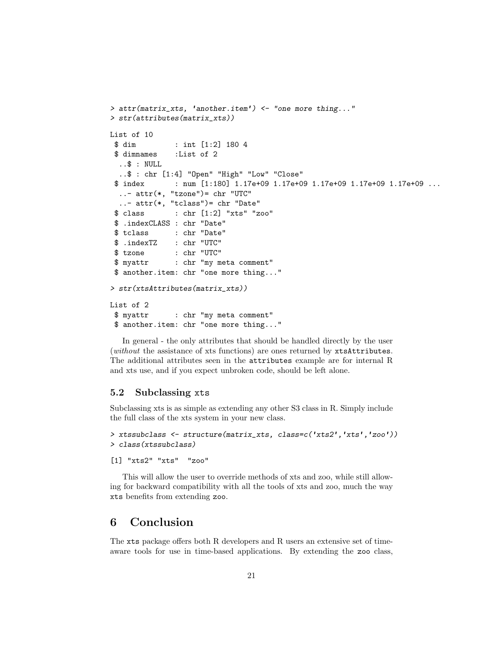```
> attr(matrix_xts, 'another.item') <- "one more thing..."
> str(attributes(matrix_xts))
List of 10
$ dim : int [1:2] 180 4
$ dimnames :List of 2
  \ldots$ : NULL
  ..$ : chr [1:4] "Open" "High" "Low" "Close"
 $ index : num [1:180] 1.17e+09 1.17e+09 1.17e+09 1.17e+09 1.17e+09 ...
  \ldots attr(*, "tzone")= chr "UTC"
  ..- attr(*, "tclass")= chr "Date"
 $ class : chr [1:2] "xts" "zoo"
$ .indexCLASS : chr "Date"
$ tclass : chr "Date"
$ .indexTZ : chr "UTC"
$ tzone : chr "UTC"
 $ myattr : chr "my meta comment"
$ another.item: chr "one more thing..."
> str(xtsAttributes(matrix_xts))
List of 2
$ myattr : chr "my meta comment"
$ another.item: chr "one more thing..."
```
In general - the only attributes that should be handled directly by the user (without the assistance of xts functions) are ones returned by xtsAttributes. The additional attributes seen in the attributes example are for internal R and xts use, and if you expect unbroken code, should be left alone.

### <span id="page-20-0"></span>5.2 Subclassing xts

Subclassing xts is as simple as extending any other S3 class in R. Simply include the full class of the xts system in your new class.

```
> xtssubclass <- structure(matrix_xts, class=c('xts2','xts','zoo'))
> class(xtssubclass)
```

```
[1] "xts2" "xts" "zoo"
```
This will allow the user to override methods of xts and zoo, while still allowing for backward compatibility with all the tools of xts and zoo, much the way xts benefits from extending zoo.

# <span id="page-20-1"></span>6 Conclusion

The xts package offers both R developers and R users an extensive set of timeaware tools for use in time-based applications. By extending the zoo class,